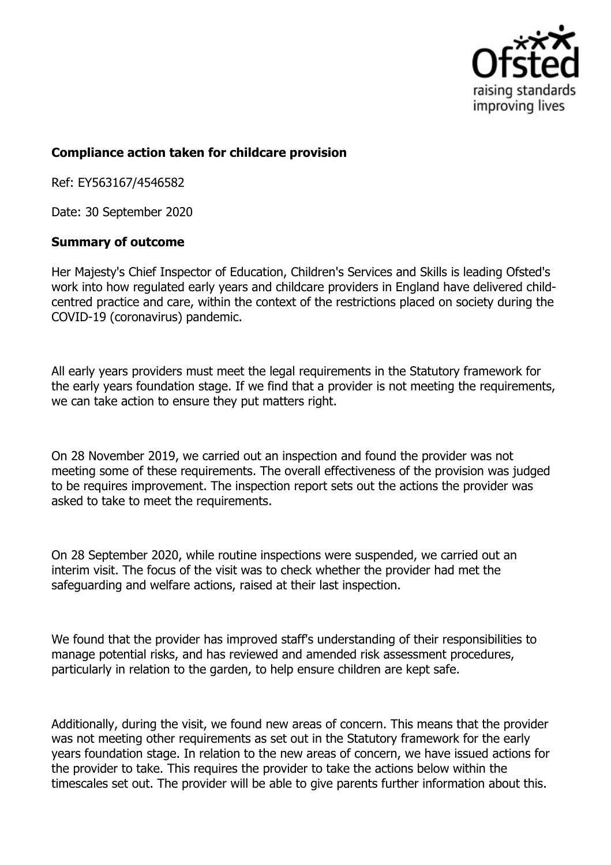

## **Compliance action taken for childcare provision**

Ref: EY563167/4546582

Date: 30 September 2020

## **Summary of outcome**

Her Majesty's Chief Inspector of Education, Children's Services and Skills is leading Ofsted's work into how regulated early years and childcare providers in England have delivered childcentred practice and care, within the context of the restrictions placed on society during the COVID-19 (coronavirus) pandemic.

All early years providers must meet the legal requirements in the Statutory framework for the early years foundation stage. If we find that a provider is not meeting the requirements, we can take action to ensure they put matters right.

On 28 November 2019, we carried out an inspection and found the provider was not meeting some of these requirements. The overall effectiveness of the provision was judged to be requires improvement. The inspection report sets out the actions the provider was asked to take to meet the requirements.

On 28 September 2020, while routine inspections were suspended, we carried out an interim visit. The focus of the visit was to check whether the provider had met the safeguarding and welfare actions, raised at their last inspection.

We found that the provider has improved staff's understanding of their responsibilities to manage potential risks, and has reviewed and amended risk assessment procedures, particularly in relation to the garden, to help ensure children are kept safe.

Additionally, during the visit, we found new areas of concern. This means that the provider was not meeting other requirements as set out in the Statutory framework for the early years foundation stage. In relation to the new areas of concern, we have issued actions for the provider to take. This requires the provider to take the actions below within the timescales set out. The provider will be able to give parents further information about this.